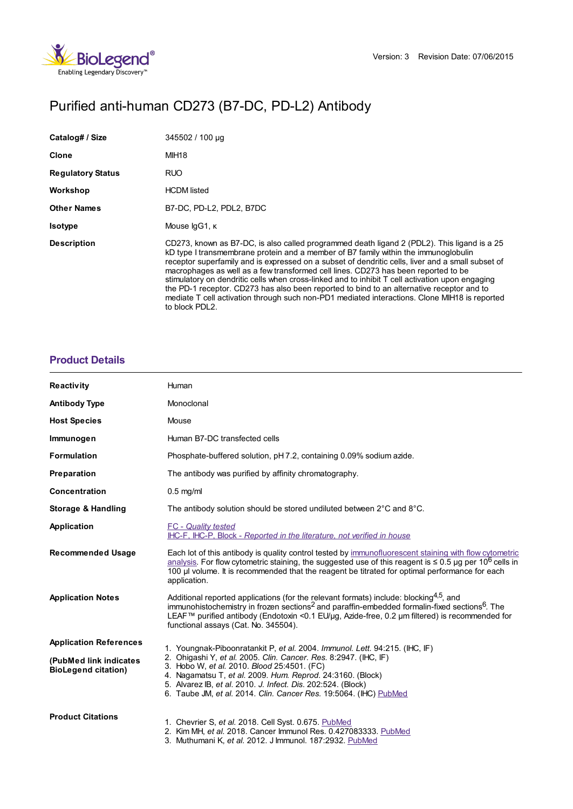

# Purified anti-human CD273 (B7-DC, PD-L2) Antibody

| Catalog# / Size          | 345502 / 100 µg                                                                                                                                                                                                                                                                                                                                                                                                                                                                                                                                                                                                                                                                                  |
|--------------------------|--------------------------------------------------------------------------------------------------------------------------------------------------------------------------------------------------------------------------------------------------------------------------------------------------------------------------------------------------------------------------------------------------------------------------------------------------------------------------------------------------------------------------------------------------------------------------------------------------------------------------------------------------------------------------------------------------|
| Clone                    | MIH <sub>18</sub>                                                                                                                                                                                                                                                                                                                                                                                                                                                                                                                                                                                                                                                                                |
| <b>Regulatory Status</b> | <b>RUO</b>                                                                                                                                                                                                                                                                                                                                                                                                                                                                                                                                                                                                                                                                                       |
| Workshop                 | <b>HCDM</b> listed                                                                                                                                                                                                                                                                                                                                                                                                                                                                                                                                                                                                                                                                               |
| <b>Other Names</b>       | B7-DC, PD-L2, PDL2, B7DC                                                                                                                                                                                                                                                                                                                                                                                                                                                                                                                                                                                                                                                                         |
| <b>Isotype</b>           | Mouse IgG1, K                                                                                                                                                                                                                                                                                                                                                                                                                                                                                                                                                                                                                                                                                    |
| <b>Description</b>       | CD273, known as B7-DC, is also called programmed death ligand 2 (PDL2). This ligand is a 25<br>kD type I transmembrane protein and a member of B7 family within the immunoglobulin<br>receptor superfamily and is expressed on a subset of dendritic cells, liver and a small subset of<br>macrophages as well as a few transformed cell lines. CD273 has been reported to be<br>stimulatory on dendritic cells when cross-linked and to inhibit T cell activation upon engaging<br>the PD-1 receptor. CD273 has also been reported to bind to an alternative receptor and to<br>mediate T cell activation through such non-PD1 mediated interactions. Clone MIH18 is reported<br>to block PDL2. |

## **[Product](https://www.biolegend.com/en-gb/products/purified-anti-human-cd273-b7-dc-pd-l2-antibody-6262?pdf=true&displayInline=true&leftRightMargin=15&topBottomMargin=15&filename=Purified anti-human CD273 (B7-DC, PD-L2) Antibody.pdf#productDetails) Details**

| <b>Reactivity</b>                                    | Human                                                                                                                                                                                                                                                                                                                                                                  |
|------------------------------------------------------|------------------------------------------------------------------------------------------------------------------------------------------------------------------------------------------------------------------------------------------------------------------------------------------------------------------------------------------------------------------------|
| <b>Antibody Type</b>                                 | Monoclonal                                                                                                                                                                                                                                                                                                                                                             |
| <b>Host Species</b>                                  | Mouse                                                                                                                                                                                                                                                                                                                                                                  |
| Immunogen                                            | Human B7-DC transfected cells                                                                                                                                                                                                                                                                                                                                          |
| <b>Formulation</b>                                   | Phosphate-buffered solution, pH 7.2, containing 0.09% sodium azide.                                                                                                                                                                                                                                                                                                    |
| Preparation                                          | The antibody was purified by affinity chromatography.                                                                                                                                                                                                                                                                                                                  |
| Concentration                                        | $0.5$ mg/ml                                                                                                                                                                                                                                                                                                                                                            |
| <b>Storage &amp; Handling</b>                        | The antibody solution should be stored undiluted between 2°C and 8°C.                                                                                                                                                                                                                                                                                                  |
| Application                                          | <b>FC</b> - Quality tested<br>IHC-F, IHC-P, Block - Reported in the literature, not verified in house                                                                                                                                                                                                                                                                  |
| <b>Recommended Usage</b>                             | Each lot of this antibody is quality control tested by immunofluorescent staining with flow cytometric<br>analysis. For flow cytometric staining, the suggested use of this reagent is $\leq 0.5$ µg per 10 <sup>6</sup> cells in<br>100 µl volume. It is recommended that the reagent be titrated for optimal performance for each<br>application.                    |
| <b>Application Notes</b>                             | Additional reported applications (for the relevant formats) include: blocking <sup>4,5</sup> , and<br>immunohistochemistry in frozen sections <sup>2</sup> and paraffin-embedded formalin-fixed sections <sup>6</sup> . The<br>LEAF™ purified antibody (Endotoxin < 0.1 EU/µq, Azide-free, 0.2 µm filtered) is recommended for<br>functional assays (Cat. No. 345504). |
| <b>Application References</b>                        | 1. Youngnak-Piboonratankit P, et al. 2004. Immunol. Lett. 94:215. (IHC, IF)                                                                                                                                                                                                                                                                                            |
| (PubMed link indicates<br><b>BioLegend citation)</b> | 2. Ohigashi Y, et al. 2005. Clin. Cancer. Res. 8:2947. (IHC, IF)<br>3. Hobo W, et al. 2010. Blood 25:4501. (FC)<br>4. Nagamatsu T, et al. 2009. Hum. Reprod. 24:3160. (Block)<br>5. Alvarez IB, et al. 2010. J. Infect. Dis. 202:524. (Block)<br>6. Taube JM, et al. 2014. Clin. Cancer Res. 19:5064. (IHC) PubMed                                                     |
| <b>Product Citations</b>                             | 1. Chevrier S, et al. 2018. Cell Syst. 0.675. PubMed<br>2. Kim MH, et al. 2018. Cancer Immunol Res. 0.427083333. PubMed<br>3. Muthumani K, et al. 2012. J Immunol. 187:2932. PubMed                                                                                                                                                                                    |